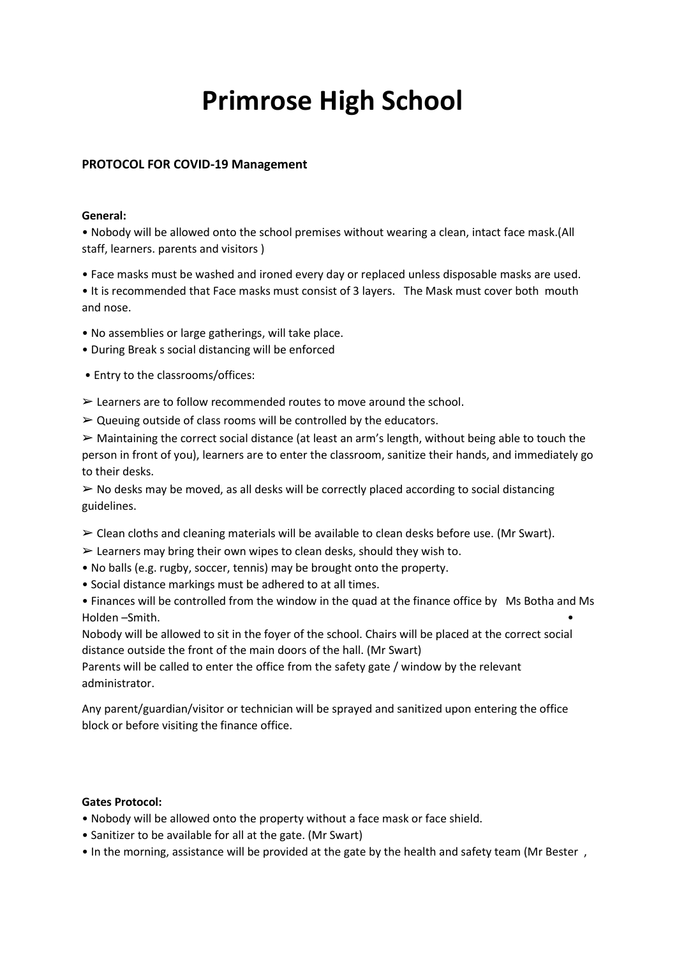# **Primrose High School**

## **PROTOCOL FOR COVID-19 Management**

#### **General:**

• Nobody will be allowed onto the school premises without wearing a clean, intact face mask.(All staff, learners. parents and visitors )

• Face masks must be washed and ironed every day or replaced unless disposable masks are used.

• It is recommended that Face masks must consist of 3 layers. The Mask must cover both mouth and nose.

• No assemblies or large gatherings, will take place.

• During Break s social distancing will be enforced

• Entry to the classrooms/offices:

- $\triangleright$  Learners are to follow recommended routes to move around the school.
- $\triangleright$  Queuing outside of class rooms will be controlled by the educators.

 $\triangleright$  Maintaining the correct social distance (at least an arm's length, without being able to touch the person in front of you), learners are to enter the classroom, sanitize their hands, and immediately go to their desks.

 $\triangleright$  No desks may be moved, as all desks will be correctly placed according to social distancing guidelines.

- $\triangleright$  Clean cloths and cleaning materials will be available to clean desks before use. (Mr Swart).
- $\triangleright$  Learners may bring their own wipes to clean desks, should they wish to.
- No balls (e.g. rugby, soccer, tennis) may be brought onto the property.
- Social distance markings must be adhered to at all times.

• Finances will be controlled from the window in the quad at the finance office by Ms Botha and Ms Holden –Smith. •

Nobody will be allowed to sit in the foyer of the school. Chairs will be placed at the correct social distance outside the front of the main doors of the hall. (Mr Swart)

Parents will be called to enter the office from the safety gate / window by the relevant administrator.

Any parent/guardian/visitor or technician will be sprayed and sanitized upon entering the office block or before visiting the finance office.

## **Gates Protocol:**

- Nobody will be allowed onto the property without a face mask or face shield.
- Sanitizer to be available for all at the gate. (Mr Swart)
- In the morning, assistance will be provided at the gate by the health and safety team (Mr Bester ,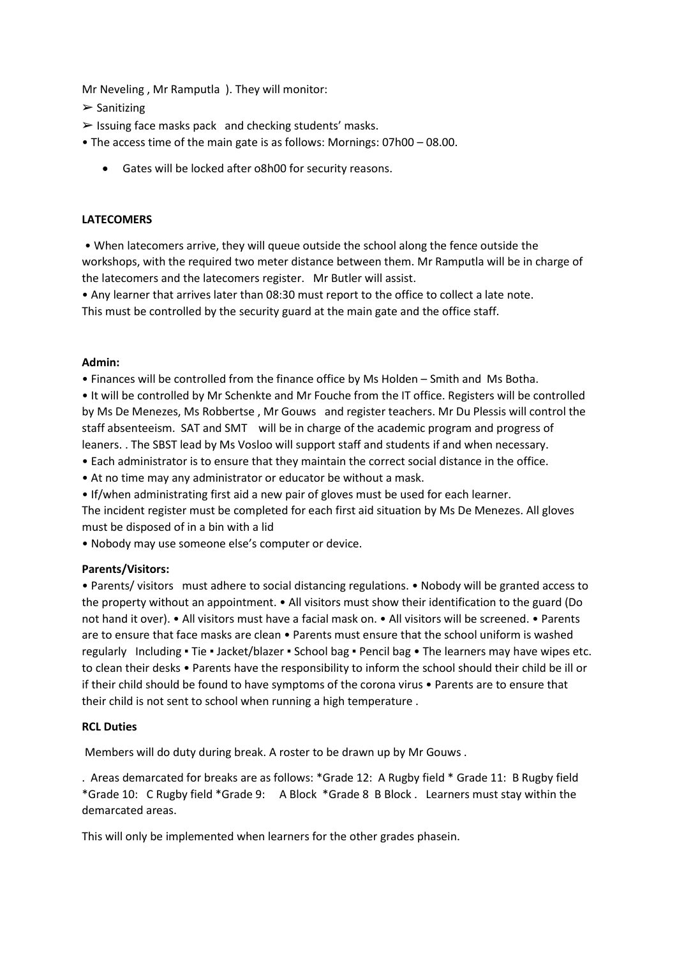Mr Neveling , Mr Ramputla ). They will monitor:

 $\triangleright$  Sanitizing

- $\triangleright$  Issuing face masks pack and checking students' masks.
- The access time of the main gate is as follows: Mornings: 07h00 08.00.
	- Gates will be locked after o8h00 for security reasons.

## **LATECOMERS**

• When latecomers arrive, they will queue outside the school along the fence outside the workshops, with the required two meter distance between them. Mr Ramputla will be in charge of the latecomers and the latecomers register. Mr Butler will assist.

• Any learner that arrives later than 08:30 must report to the office to collect a late note. This must be controlled by the security guard at the main gate and the office staff.

## **Admin:**

• Finances will be controlled from the finance office by Ms Holden – Smith and Ms Botha.

• It will be controlled by Mr Schenkte and Mr Fouche from the IT office. Registers will be controlled by Ms De Menezes, Ms Robbertse , Mr Gouws and register teachers. Mr Du Plessis will control the staff absenteeism. SAT and SMT will be in charge of the academic program and progress of leaners. . The SBST lead by Ms Vosloo will support staff and students if and when necessary.

• Each administrator is to ensure that they maintain the correct social distance in the office.

• At no time may any administrator or educator be without a mask.

• If/when administrating first aid a new pair of gloves must be used for each learner.

The incident register must be completed for each first aid situation by Ms De Menezes. All gloves must be disposed of in a bin with a lid

• Nobody may use someone else's computer or device.

# **Parents/Visitors:**

• Parents/ visitors must adhere to social distancing regulations. • Nobody will be granted access to the property without an appointment. • All visitors must show their identification to the guard (Do not hand it over). • All visitors must have a facial mask on. • All visitors will be screened. • Parents are to ensure that face masks are clean • Parents must ensure that the school uniform is washed regularly Including • Tie • Jacket/blazer • School bag • Pencil bag • The learners may have wipes etc. to clean their desks • Parents have the responsibility to inform the school should their child be ill or if their child should be found to have symptoms of the corona virus • Parents are to ensure that their child is not sent to school when running a high temperature .

## **RCL Duties**

Members will do duty during break. A roster to be drawn up by Mr Gouws .

. Areas demarcated for breaks are as follows: \*Grade 12: A Rugby field \* Grade 11: B Rugby field \*Grade 10: C Rugby field \*Grade 9: A Block \*Grade 8 B Block . Learners must stay within the demarcated areas.

This will only be implemented when learners for the other grades phasein.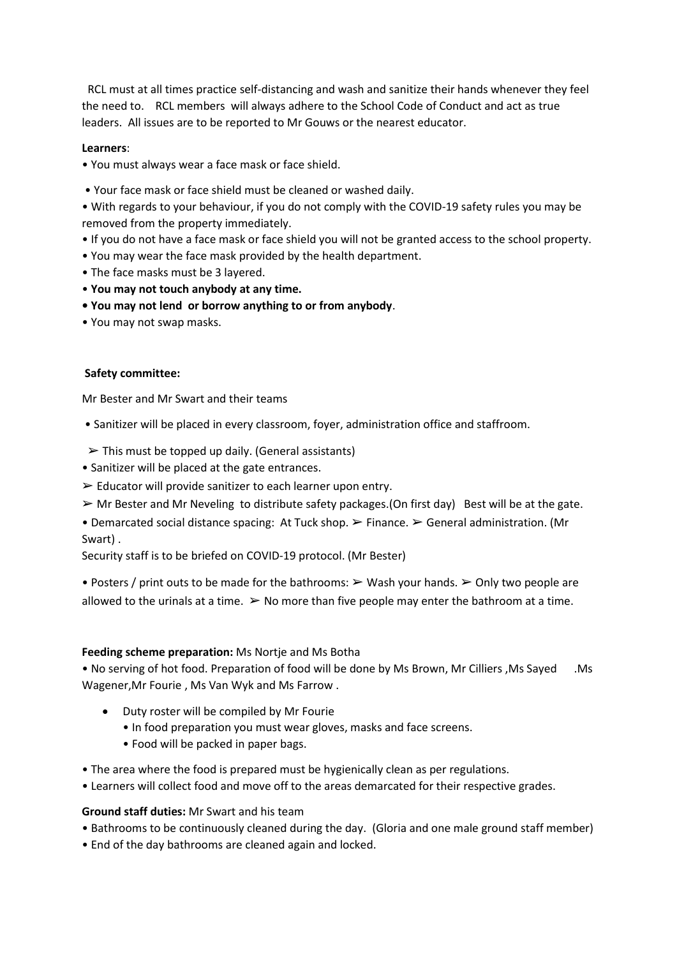RCL must at all times practice self-distancing and wash and sanitize their hands whenever they feel the need to. RCL members will always adhere to the School Code of Conduct and act as true leaders. All issues are to be reported to Mr Gouws or the nearest educator.

## **Learners**:

• You must always wear a face mask or face shield.

• Your face mask or face shield must be cleaned or washed daily.

• With regards to your behaviour, if you do not comply with the COVID-19 safety rules you may be removed from the property immediately.

- If you do not have a face mask or face shield you will not be granted access to the school property.
- You may wear the face mask provided by the health department.
- The face masks must be 3 layered.
- **You may not touch anybody at any time.**
- **You may not lend or borrow anything to or from anybody**.
- You may not swap masks.

## **Safety committee:**

Mr Bester and Mr Swart and their teams

- Sanitizer will be placed in every classroom, foyer, administration office and staffroom.
- $\triangleright$  This must be topped up daily. (General assistants)
- Sanitizer will be placed at the gate entrances.
- $\triangleright$  Educator will provide sanitizer to each learner upon entry.
- $\triangleright$  Mr Bester and Mr Neveling to distribute safety packages.(On first day) Best will be at the gate.

• Demarcated social distance spacing: At Tuck shop.  $\triangleright$  Finance.  $\triangleright$  General administration. (Mr Swart) .

Security staff is to be briefed on COVID-19 protocol. (Mr Bester)

• Posters / print outs to be made for the bathrooms:  $\triangleright$  Wash your hands.  $\triangleright$  Only two people are allowed to the urinals at a time.  $\triangleright$  No more than five people may enter the bathroom at a time.

## **Feeding scheme preparation:** Ms Nortje and Ms Botha

• No serving of hot food. Preparation of food will be done by Ms Brown, Mr Cilliers ,Ms Sayed .Ms Wagener,Mr Fourie , Ms Van Wyk and Ms Farrow .

- Duty roster will be compiled by Mr Fourie
	- In food preparation you must wear gloves, masks and face screens.
	- Food will be packed in paper bags.
- The area where the food is prepared must be hygienically clean as per regulations.
- Learners will collect food and move off to the areas demarcated for their respective grades.

## **Ground staff duties:** Mr Swart and his team

- Bathrooms to be continuously cleaned during the day. (Gloria and one male ground staff member)
- End of the day bathrooms are cleaned again and locked.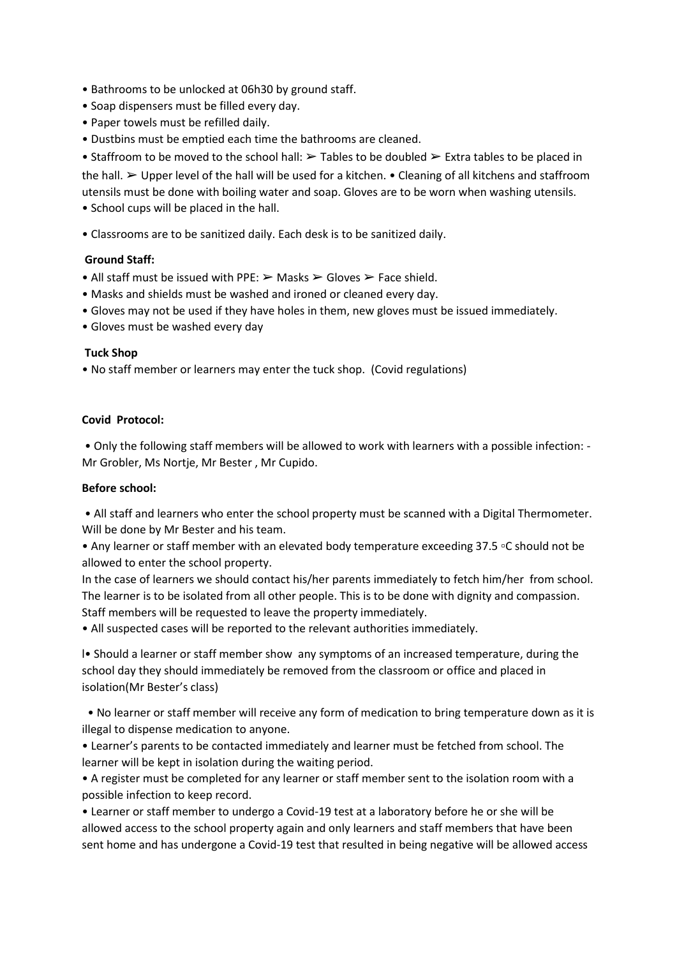- Bathrooms to be unlocked at 06h30 by ground staff.
- Soap dispensers must be filled every day.
- Paper towels must be refilled daily.
- Dustbins must be emptied each time the bathrooms are cleaned.

• Staffroom to be moved to the school hall:  $\triangleright$  Tables to be doubled  $\triangleright$  Extra tables to be placed in the hall. ➢ Upper level of the hall will be used for a kitchen. • Cleaning of all kitchens and staffroom utensils must be done with boiling water and soap. Gloves are to be worn when washing utensils. • School cups will be placed in the hall.

• Classrooms are to be sanitized daily. Each desk is to be sanitized daily.

## **Ground Staff:**

- All staff must be issued with PPE:  $\triangleright$  Masks  $\triangleright$  Gloves  $\triangleright$  Face shield.
- Masks and shields must be washed and ironed or cleaned every day.
- Gloves may not be used if they have holes in them, new gloves must be issued immediately.
- Gloves must be washed every day

## **Tuck Shop**

• No staff member or learners may enter the tuck shop. (Covid regulations)

## **Covid Protocol:**

• Only the following staff members will be allowed to work with learners with a possible infection: - Mr Grobler, Ms Nortje, Mr Bester , Mr Cupido.

## **Before school:**

• All staff and learners who enter the school property must be scanned with a Digital Thermometer. Will be done by Mr Bester and his team.

• Any learner or staff member with an elevated body temperature exceeding 37.5 ▫C should not be allowed to enter the school property.

In the case of learners we should contact his/her parents immediately to fetch him/her from school. The learner is to be isolated from all other people. This is to be done with dignity and compassion. Staff members will be requested to leave the property immediately.

• All suspected cases will be reported to the relevant authorities immediately.

l• Should a learner or staff member show any symptoms of an increased temperature, during the school day they should immediately be removed from the classroom or office and placed in isolation(Mr Bester's class)

 • No learner or staff member will receive any form of medication to bring temperature down as it is illegal to dispense medication to anyone.

• Learner's parents to be contacted immediately and learner must be fetched from school. The learner will be kept in isolation during the waiting period.

• A register must be completed for any learner or staff member sent to the isolation room with a possible infection to keep record.

• Learner or staff member to undergo a Covid-19 test at a laboratory before he or she will be allowed access to the school property again and only learners and staff members that have been sent home and has undergone a Covid-19 test that resulted in being negative will be allowed access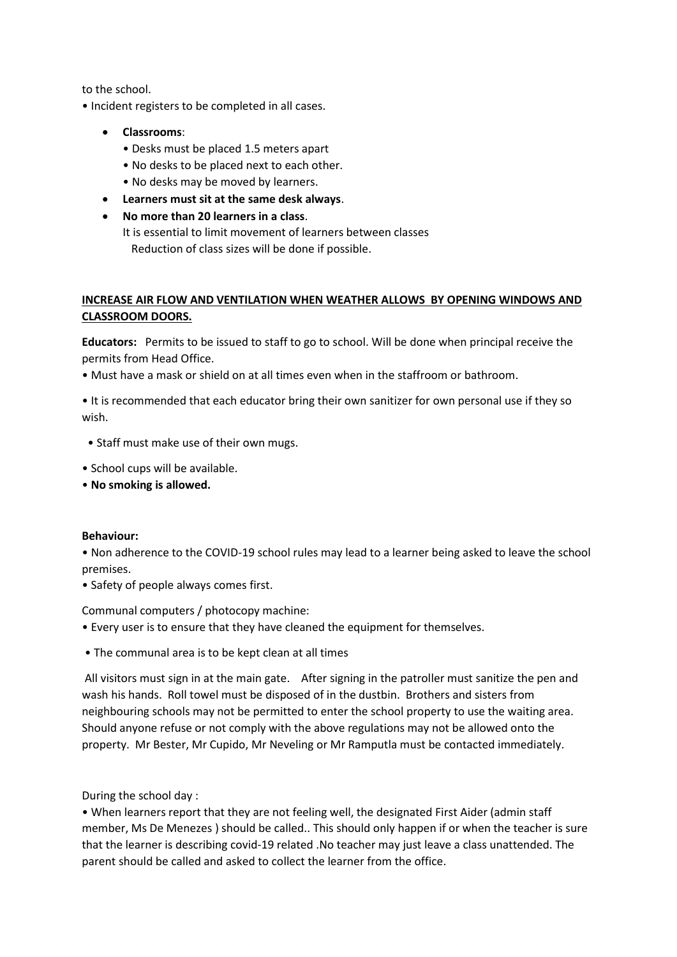to the school.

• Incident registers to be completed in all cases.

- **Classrooms**:
	- Desks must be placed 1.5 meters apart
	- No desks to be placed next to each other.
	- No desks may be moved by learners.
- **Learners must sit at the same desk always**.
- **No more than 20 learners in a class**.
	- It is essential to limit movement of learners between classes Reduction of class sizes will be done if possible.

# **INCREASE AIR FLOW AND VENTILATION WHEN WEATHER ALLOWS BY OPENING WINDOWS AND CLASSROOM DOORS.**

**Educators:** Permits to be issued to staff to go to school. Will be done when principal receive the permits from Head Office.

• Must have a mask or shield on at all times even when in the staffroom or bathroom.

• It is recommended that each educator bring their own sanitizer for own personal use if they so wish.

- Staff must make use of their own mugs.
- School cups will be available.
- **No smoking is allowed.**

## **Behaviour:**

• Non adherence to the COVID-19 school rules may lead to a learner being asked to leave the school premises.

• Safety of people always comes first.

Communal computers / photocopy machine:

- Every user is to ensure that they have cleaned the equipment for themselves.
- The communal area is to be kept clean at all times

All visitors must sign in at the main gate. After signing in the patroller must sanitize the pen and wash his hands. Roll towel must be disposed of in the dustbin. Brothers and sisters from neighbouring schools may not be permitted to enter the school property to use the waiting area. Should anyone refuse or not comply with the above regulations may not be allowed onto the property. Mr Bester, Mr Cupido, Mr Neveling or Mr Ramputla must be contacted immediately.

During the school day :

• When learners report that they are not feeling well, the designated First Aider (admin staff member, Ms De Menezes ) should be called.. This should only happen if or when the teacher is sure that the learner is describing covid-19 related .No teacher may just leave a class unattended. The parent should be called and asked to collect the learner from the office.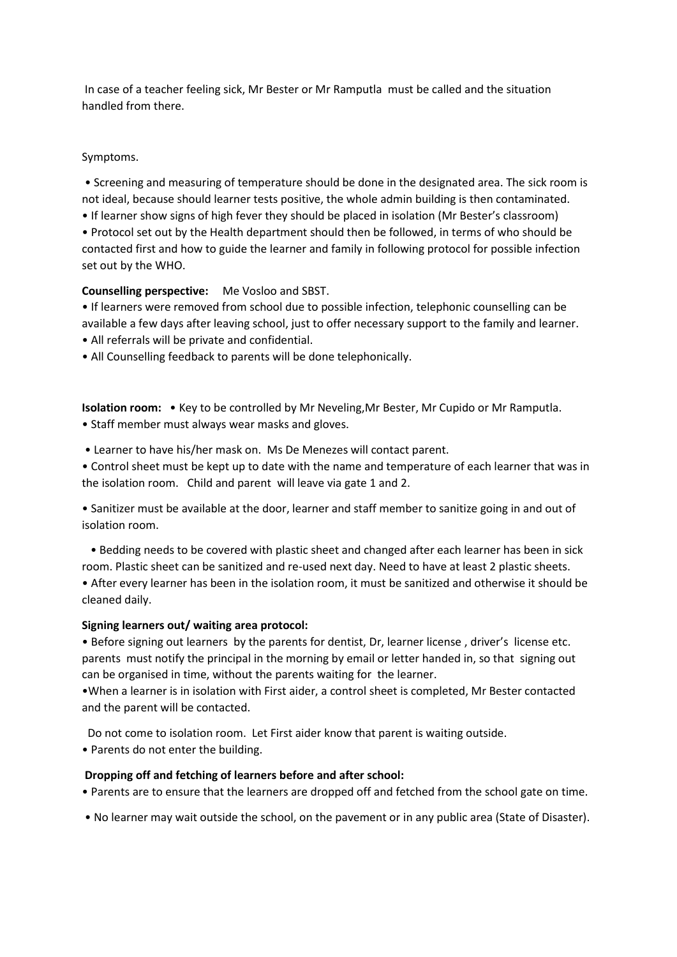In case of a teacher feeling sick, Mr Bester or Mr Ramputla must be called and the situation handled from there.

## Symptoms.

• Screening and measuring of temperature should be done in the designated area. The sick room is not ideal, because should learner tests positive, the whole admin building is then contaminated.

• If learner show signs of high fever they should be placed in isolation (Mr Bester's classroom) • Protocol set out by the Health department should then be followed, in terms of who should be contacted first and how to guide the learner and family in following protocol for possible infection set out by the WHO.

## **Counselling perspective:** Me Vosloo and SBST.

• If learners were removed from school due to possible infection, telephonic counselling can be available a few days after leaving school, just to offer necessary support to the family and learner.

• All referrals will be private and confidential.

• All Counselling feedback to parents will be done telephonically.

**Isolation room:** • Key to be controlled by Mr Neveling,Mr Bester, Mr Cupido or Mr Ramputla. • Staff member must always wear masks and gloves.

• Learner to have his/her mask on. Ms De Menezes will contact parent.

• Control sheet must be kept up to date with the name and temperature of each learner that was in the isolation room. Child and parent will leave via gate 1 and 2.

• Sanitizer must be available at the door, learner and staff member to sanitize going in and out of isolation room.

 • Bedding needs to be covered with plastic sheet and changed after each learner has been in sick room. Plastic sheet can be sanitized and re-used next day. Need to have at least 2 plastic sheets.

• After every learner has been in the isolation room, it must be sanitized and otherwise it should be cleaned daily.

# **Signing learners out/ waiting area protocol:**

• Before signing out learners by the parents for dentist, Dr, learner license , driver's license etc. parents must notify the principal in the morning by email or letter handed in, so that signing out can be organised in time, without the parents waiting for the learner.

•When a learner is in isolation with First aider, a control sheet is completed, Mr Bester contacted and the parent will be contacted.

Do not come to isolation room. Let First aider know that parent is waiting outside.

• Parents do not enter the building.

# **Dropping off and fetching of learners before and after school:**

• Parents are to ensure that the learners are dropped off and fetched from the school gate on time.

• No learner may wait outside the school, on the pavement or in any public area (State of Disaster).